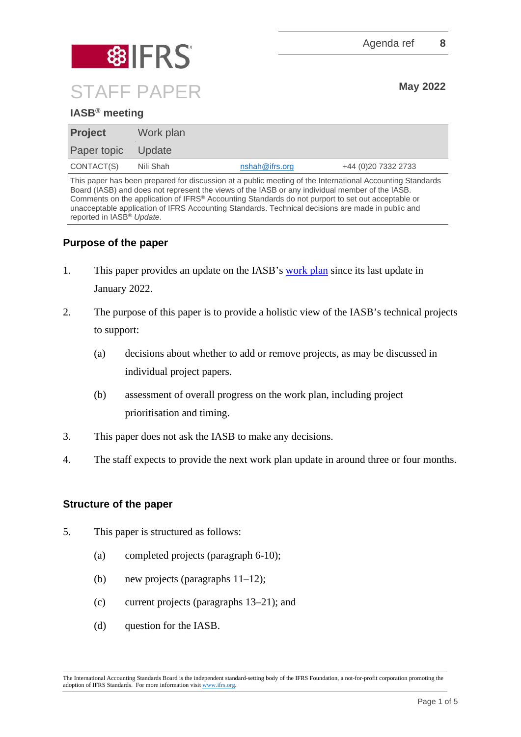

# **IASB® meeting**

| <b>Project</b>     | Work plan |                |                     |
|--------------------|-----------|----------------|---------------------|
| Paper topic Update |           |                |                     |
| CONTACT(S)         | Nili Shah | nshah@ifrs.org | +44 (0)20 7332 2733 |

This paper has been prepared for discussion at a public meeting of the International Accounting Standards Board (IASB) and does not represent the views of the IASB or any individual member of the IASB. Comments on the application of IFRS® Accounting Standards do not purport to set out acceptable or unacceptable application of IFRS Accounting Standards. Technical decisions are made in public and reported in IASB® *Update*.

# **Purpose of the paper**

- 1. This paper provides an update on the IASB's [work plan](https://www.ifrs.org/projects/work-plan/) since its last update in January 2022.
- 2. The purpose of this paper is to provide a holistic view of the IASB's technical projects to support:
	- (a) decisions about whether to add or remove projects, as may be discussed in individual project papers.
	- (b) assessment of overall progress on the work plan, including project prioritisation and timing.
- 3. This paper does not ask the IASB to make any decisions.
- 4. The staff expects to provide the next work plan update in around three or four months.

### **Structure of the paper**

- 5. This paper is structured as follows:
	- (a) completed projects (paragraph 6-10);
	- (b) new projects (paragraphs 11–12);
	- (c) current projects (paragraphs 13–21); and
	- (d) question for the IASB.

The International Accounting Standards Board is the independent standard-setting body of the IFRS Foundation, a not-for-profit corporation promoting the adoption of IFRS Standards. For more information visit [www.ifrs.org.](http://www.ifrs.org/)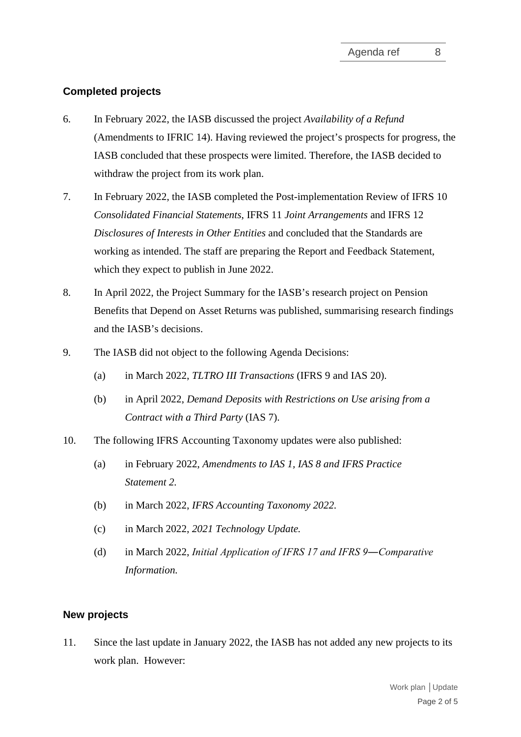# **Completed projects**

- 6. In February 2022, the IASB discussed the project *Availability of a Refund* (Amendments to IFRIC 14). Having reviewed the project's prospects for progress, the IASB concluded that these prospects were limited. Therefore, the IASB decided to withdraw the project from its work plan.
- 7. In February 2022, the IASB completed the Post-implementation Review of IFRS 10 *Consolidated Financial Statements*, IFRS 11 *Joint Arrangements* and IFRS 12 *Disclosures of Interests in Other Entities* and concluded that the Standards are working as intended. The staff are preparing the Report and Feedback Statement, which they expect to publish in June 2022.
- 8. In April 2022, the Project Summary for the IASB's research project on Pension Benefits that Depend on Asset Returns was published, summarising research findings and the IASB's decisions.
- 9. The IASB did not object to the following Agenda Decisions:
	- (a) in March 2022, *TLTRO III Transactions* (IFRS 9 and IAS 20).
	- (b) in April 2022, *Demand Deposits with Restrictions on Use arising from a Contract with a Third Party* (IAS 7).
- 10. The following IFRS Accounting Taxonomy updates were also published:
	- (a) in February 2022, *Amendments to IAS 1, IAS 8 and IFRS Practice Statement 2.*
	- (b) in March 2022, *IFRS Accounting Taxonomy 2022.*
	- (c) in March 2022, *2021 Technology Update.*
	- (d) in March 2022, *Initial Application of IFRS 17 and IFRS 9―Comparative Information.*

### **New projects**

11. Since the last update in January 2022, the IASB has not added any new projects to its work plan. However: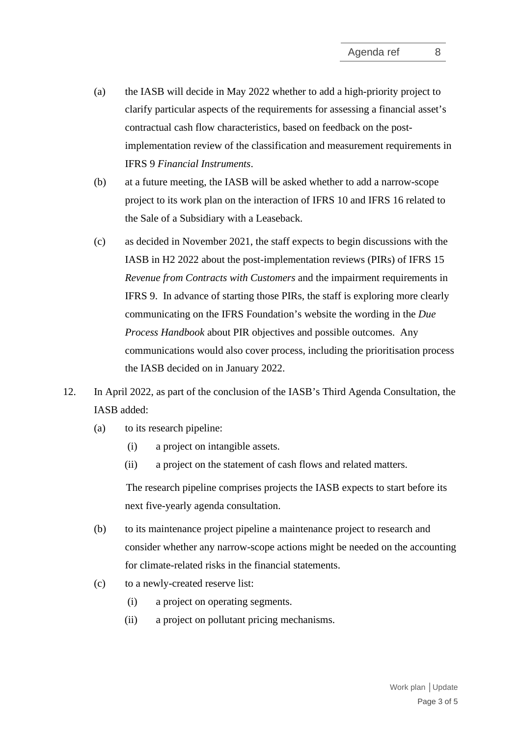- (a) the IASB will decide in May 2022 whether to add a high-priority project to clarify particular aspects of the requirements for assessing a financial asset's contractual cash flow characteristics, based on feedback on the postimplementation review of the classification and measurement requirements in IFRS 9 *Financial Instruments*.
- (b) at a future meeting, the IASB will be asked whether to add a narrow-scope project to its work plan on the interaction of IFRS 10 and IFRS 16 related to the Sale of a Subsidiary with a Leaseback.
- (c) as decided in November 2021, the staff expects to begin discussions with the IASB in H2 2022 about the post-implementation reviews (PIRs) of IFRS 15 *Revenue from Contracts with Customers* and the impairment requirements in IFRS 9. In advance of starting those PIRs, the staff is exploring more clearly communicating on the IFRS Foundation's website the wording in the *Due Process Handbook* about PIR objectives and possible outcomes. Any communications would also cover process, including the prioritisation process the IASB decided on in January 2022.
- 12. In April 2022, as part of the conclusion of the IASB's Third Agenda Consultation, the IASB added:
	- (a) to its research pipeline:
		- (i) a project on intangible assets.
		- (ii) a project on the statement of cash flows and related matters.

The research pipeline comprises projects the IASB expects to start before its next five-yearly agenda consultation.

- (b) to its maintenance project pipeline a maintenance project to research and consider whether any narrow-scope actions might be needed on the accounting for climate-related risks in the financial statements.
- (c) to a newly-created reserve list:
	- (i) a project on operating segments.
	- (ii) a project on pollutant pricing mechanisms.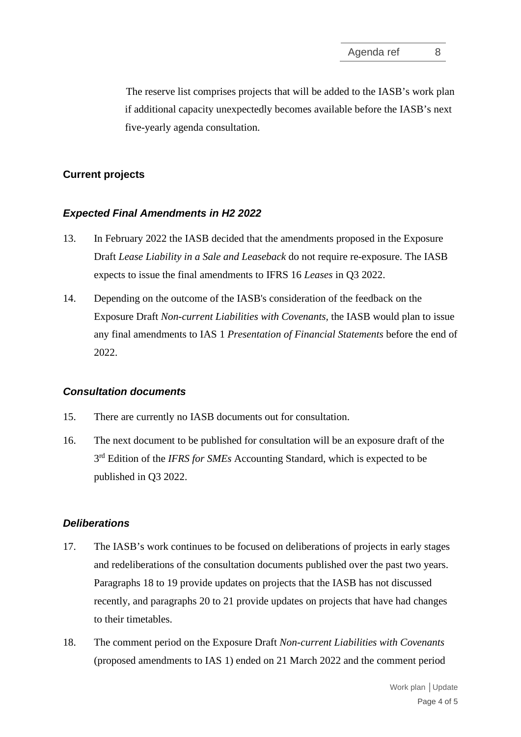The reserve list comprises projects that will be added to the IASB's work plan if additional capacity unexpectedly becomes available before the IASB's next five-yearly agenda consultation.

# **Current projects**

### *Expected Final Amendments in H2 2022*

- 13. In February 2022 the IASB decided that the amendments proposed in the Exposure Draft *Lease Liability in a Sale and Leaseback* do not require re-exposure. The IASB expects to issue the final amendments to IFRS 16 *Leases* in Q3 2022.
- 14. Depending on the outcome of the IASB's consideration of the feedback on the Exposure Draft *Non-current Liabilities with Covenants,* the IASB would plan to issue any final amendments to IAS 1 *Presentation of Financial Statements* before the end of 2022.

### *Consultation documents*

- 15. There are currently no IASB documents out for consultation.
- 16. The next document to be published for consultation will be an exposure draft of the 3<sup>rd</sup> Edition of the *IFRS for SMEs* Accounting Standard, which is expected to be published in Q3 2022.

### *Deliberations*

- 17. The IASB's work continues to be focused on deliberations of projects in early stages and redeliberations of the consultation documents published over the past two years. Paragraphs 18 to 19 provide updates on projects that the IASB has not discussed recently, and paragraphs 20 to 21 provide updates on projects that have had changes to their timetables.
- 18. The comment period on the Exposure Draft *Non-current Liabilities with Covenants* (proposed amendments to IAS 1) ended on 21 March 2022 and the comment period